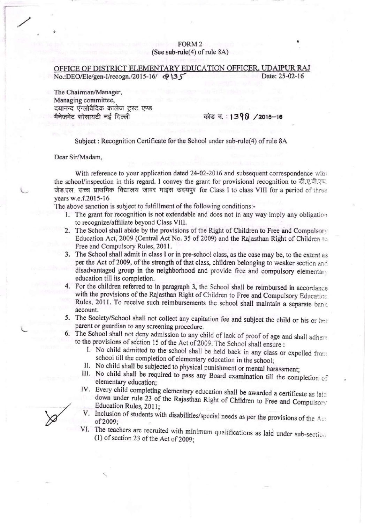## FORM<sub>2</sub> (See sub-rule(4) of rule 8A)

## OFFICE OF DISTRICT ELEMENTARY EDUCATION OFFICER, UDAIPUR RAJ No.:DEO/Ele/gen-I/recogn./2015-16/ $\Phi$ 135 Date: 25-02-16

The Chairman/Manager, Managing committee, दयानन्द एंग्लोवैदिक कालेज ट्रस्ट एण्ड मैनेजमेंट सोसायटी नई दिल्ली

## कोड न.: 1398 /2015-16

Subject: Recognition Certificate for the School under sub-rule(4) of rule 8A

## Dear Sir/Madam,

With reference to your application dated 24-02-2016 and subsequent correspondence with the school/inspection in this regard. I convey the grant for provisional recognition to डी.ए.वी.एच. जेड.एल. उच्च प्राथमिक विद्यालय जावर माइंस उदयपुर for Class I to class VIII for a period of three years w.e.f.2015-16

The above sanction is subject to fulfillment of the following conditions:-

- 1. The grant for recognition is not extendable and does not in any way imply any obligation to recognize/affiliate beyond Class VIII.
- 2. The School shall abide by the provisions of the Right of Children to Free and Compulsory Education Act, 2009 (Central Act No. 35 of 2009) and the Rajasthan Right of Children to Free and Compulsory Rules, 2011.
- 3. The School shall admit in class I or in pre-school class, as the case may be, to the extent as per the Act of 2009, of the strength of that class, children belonging to weaker section and disadvantaged group in the neighborhood and provide free and compulsory elementary education till its completion.
- 4. For the children referred to in paragraph 3, the School shall be reimbursed in accordance with the provisions of the Rajasthan Right of Children to Free and Compulsory Education Rules, 2011. To receive such reimbursements the school shall maintain a separate bank account.
- 5. The Society/School shall not collect any capitation fee and subject the child or his or her parent or guardian to any screening procedure.
- 6. The School shall not deny admission to any child of lack of proof of age and shall adhere to the provisions of section 15 of the Act of 2009. The School shall ensure :
	- I. No child admitted to the school shall be held back in any class or expelled from school till the completion of elementary education in the school;
	- II. No child shall be subjected to physical punishment or mental harassment;
	- III. No child shall be required to pass any Board examination till the completion of elementary education:
	- IV. Every child completing elementary education shall be awarded a certificate as laid down under rule 23 of the Rajasthan Right of Children to Free and Compulsory Education Rules, 2011;
	- V. Inclusion of students with disabilities/special needs as per the provisions of the Act of 2009:
	- VI. The teachers are recruited with minimum qualifications as laid under sub-section  $(1)$  of section 23 of the Act of 2009;